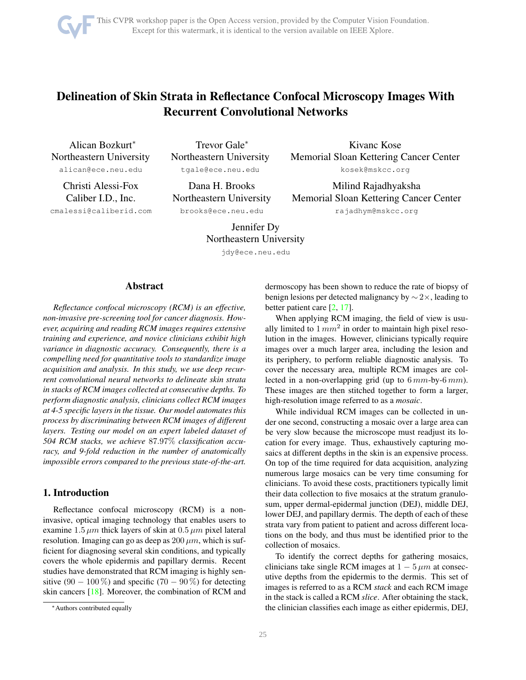# <span id="page-0-0"></span>Delineation of Skin Strata in Reflectance Confocal Microscopy Images With Recurrent Convolutional Networks

Alican Bozkurt<sup>∗</sup> Northeastern University alican@ece.neu.edu

Christi Alessi-Fox Caliber I.D., Inc. cmalessi@caliberid.com

Trevor Gale<sup>∗</sup> Northeastern University tgale@ece.neu.edu

Dana H. Brooks Northeastern University brooks@ece.neu.edu

Kivanc Kose Memorial Sloan Kettering Cancer Center kosek@mskcc.org

Milind Rajadhyaksha Memorial Sloan Kettering Cancer Center rajadhym@mskcc.org

Jennifer Dy Northeastern University

jdy@ece.neu.edu

# Abstract

*Reflectance confocal microscopy (RCM) is an effective, non-invasive pre-screening tool for cancer diagnosis. However, acquiring and reading RCM images requires extensive training and experience, and novice clinicians exhibit high variance in diagnostic accuracy. Consequently, there is a compelling need for quantitative tools to standardize image acquisition and analysis. In this study, we use deep recurrent convolutional neural networks to delineate skin strata in stacks of RCM images collected at consecutive depths. To perform diagnostic analysis, clinicians collect RCM images at 4-5 specific layers in the tissue. Our model automates this process by discriminating between RCM images of different layers. Testing our model on an expert labeled dataset of 504 RCM stacks, we achieve* 87.97% *classification accuracy, and 9-fold reduction in the number of anatomically impossible errors compared to the previous state-of-the-art.*

# 1. Introduction

Reflectance confocal microscopy (RCM) is a noninvasive, optical imaging technology that enables users to examine 1.5  $\mu$ m thick layers of skin at 0.5  $\mu$ m pixel lateral resolution. Imaging can go as deep as  $200 \mu m$ , which is sufficient for diagnosing several skin conditions, and typically covers the whole epidermis and papillary dermis. Recent studies have demonstrated that RCM imaging is highly sensitive (90 – 100 %) and specific (70 – 90 %) for detecting skin cancers [\[18\]](#page-7-0). Moreover, the combination of RCM and

dermoscopy has been shown to reduce the rate of biopsy of benign lesions per detected malignancy by ∼ 2×, leading to better patient care [\[2,](#page-7-1) [17\]](#page-7-2).

When applying RCM imaging, the field of view is usually limited to  $1 mm<sup>2</sup>$  in order to maintain high pixel resolution in the images. However, clinicians typically require images over a much larger area, including the lesion and its periphery, to perform reliable diagnostic analysis. To cover the necessary area, multiple RCM images are collected in a non-overlapping grid (up to  $6 \, mm$ -by- $6 \, mm$ ). These images are then stitched together to form a larger, high-resolution image referred to as a *mosaic*.

While individual RCM images can be collected in under one second, constructing a mosaic over a large area can be very slow because the microscope must readjust its location for every image. Thus, exhaustively capturing mosaics at different depths in the skin is an expensive process. On top of the time required for data acquisition, analyzing numerous large mosaics can be very time consuming for clinicians. To avoid these costs, practitioners typically limit their data collection to five mosaics at the stratum granulosum, upper dermal-epidermal junction (DEJ), middle DEJ, lower DEJ, and papillary dermis. The depth of each of these strata vary from patient to patient and across different locations on the body, and thus must be identified prior to the collection of mosaics.

To identify the correct depths for gathering mosaics, clinicians take single RCM images at  $1 - 5 \mu m$  at consecutive depths from the epidermis to the dermis. This set of images is referred to as a RCM *stack* and each RCM image in the stack is called a RCM *slice*. After obtaining the stack, the clinician classifies each image as either epidermis, DEJ,

<sup>∗</sup>Authors contributed equally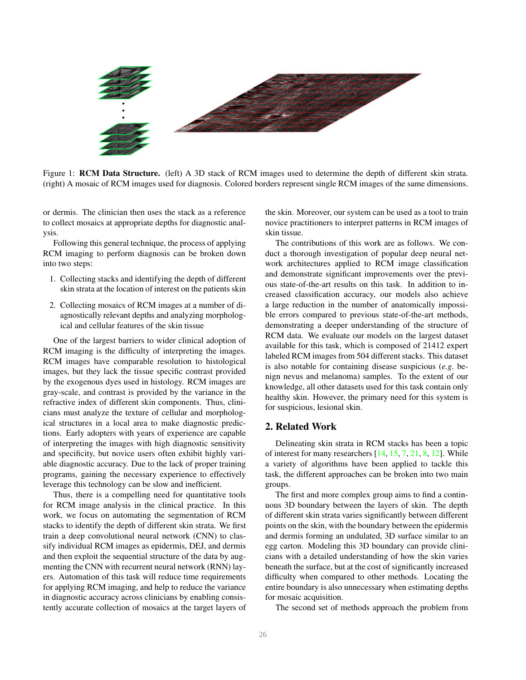<span id="page-1-0"></span>

Figure 1: **RCM Data Structure.** (left) A 3D stack of RCM images used to determine the depth of different skin strata. (right) A mosaic of RCM images used for diagnosis. Colored borders represent single RCM images of the same dimensions.

or dermis. The clinician then uses the stack as a reference to collect mosaics at appropriate depths for diagnostic analysis.

Following this general technique, the process of applying RCM imaging to perform diagnosis can be broken down into two steps:

- 1. Collecting stacks and identifying the depth of different skin strata at the location of interest on the patients skin
- 2. Collecting mosaics of RCM images at a number of diagnostically relevant depths and analyzing morphological and cellular features of the skin tissue

One of the largest barriers to wider clinical adoption of RCM imaging is the difficulty of interpreting the images. RCM images have comparable resolution to histological images, but they lack the tissue specific contrast provided by the exogenous dyes used in histology. RCM images are gray-scale, and contrast is provided by the variance in the refractive index of different skin components. Thus, clinicians must analyze the texture of cellular and morphological structures in a local area to make diagnostic predictions. Early adopters with years of experience are capable of interpreting the images with high diagnostic sensitivity and specificity, but novice users often exhibit highly variable diagnostic accuracy. Due to the lack of proper training programs, gaining the necessary experience to effectively leverage this technology can be slow and inefficient.

Thus, there is a compelling need for quantitative tools for RCM image analysis in the clinical practice. In this work, we focus on automating the segmentation of RCM stacks to identify the depth of different skin strata. We first train a deep convolutional neural network (CNN) to classify individual RCM images as epidermis, DEJ, and dermis and then exploit the sequential structure of the data by augmenting the CNN with recurrent neural network (RNN) layers. Automation of this task will reduce time requirements for applying RCM imaging, and help to reduce the variance in diagnostic accuracy across clinicians by enabling consistently accurate collection of mosaics at the target layers of the skin. Moreover, our system can be used as a tool to train novice practitioners to interpret patterns in RCM images of skin tissue.

The contributions of this work are as follows. We conduct a thorough investigation of popular deep neural network architectures applied to RCM image classification and demonstrate significant improvements over the previous state-of-the-art results on this task. In addition to increased classification accuracy, our models also achieve a large reduction in the number of anatomically impossible errors compared to previous state-of-the-art methods, demonstrating a deeper understanding of the structure of RCM data. We evaluate our models on the largest dataset available for this task, which is composed of 21412 expert labeled RCM images from 504 different stacks. This dataset is also notable for containing disease suspicious (*e.g*. benign nevus and melanoma) samples. To the extent of our knowledge, all other datasets used for this task contain only healthy skin. However, the primary need for this system is for suspicious, lesional skin.

# 2. Related Work

Delineating skin strata in RCM stacks has been a topic of interest for many researchers [\[14,](#page-7-3) [15,](#page-7-4) [7,](#page-7-5) [21,](#page-7-6) [8,](#page-7-7) [12\]](#page-7-8). While a variety of algorithms have been applied to tackle this task, the different approaches can be broken into two main groups.

The first and more complex group aims to find a continuous 3D boundary between the layers of skin. The depth of different skin strata varies significantly between different points on the skin, with the boundary between the epidermis and dermis forming an undulated, 3D surface similar to an egg carton. Modeling this 3D boundary can provide clinicians with a detailed understanding of how the skin varies beneath the surface, but at the cost of significantly increased difficulty when compared to other methods. Locating the entire boundary is also unnecessary when estimating depths for mosaic acquisition.

The second set of methods approach the problem from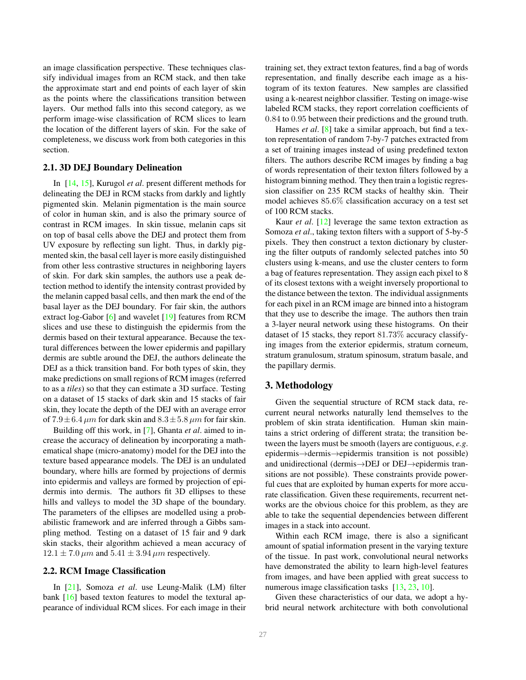<span id="page-2-1"></span>an image classification perspective. These techniques classify individual images from an RCM stack, and then take the approximate start and end points of each layer of skin as the points where the classifications transition between layers. Our method falls into this second category, as we perform image-wise classification of RCM slices to learn the location of the different layers of skin. For the sake of completeness, we discuss work from both categories in this section.

#### 2.1. 3D DEJ Boundary Delineation

In [\[14,](#page-7-3) [15\]](#page-7-4), Kurugol *et al*. present different methods for delineating the DEJ in RCM stacks from darkly and lightly pigmented skin. Melanin pigmentation is the main source of color in human skin, and is also the primary source of contrast in RCM images. In skin tissue, melanin caps sit on top of basal cells above the DEJ and protect them from UV exposure by reflecting sun light. Thus, in darkly pigmented skin, the basal cell layer is more easily distinguished from other less contrastive structures in neighboring layers of skin. For dark skin samples, the authors use a peak detection method to identify the intensity contrast provided by the melanin capped basal cells, and then mark the end of the basal layer as the DEJ boundary. For fair skin, the authors extract log-Gabor [\[6\]](#page-7-9) and wavelet [\[19\]](#page-7-10) features from RCM slices and use these to distinguish the epidermis from the dermis based on their textural appearance. Because the textural differences between the lower epidermis and papillary dermis are subtle around the DEJ, the authors delineate the DEJ as a thick transition band. For both types of skin, they make predictions on small regions of RCM images (referred to as a *tiles*) so that they can estimate a 3D surface. Testing on a dataset of 15 stacks of dark skin and 15 stacks of fair skin, they locate the depth of the DEJ with an average error of  $7.9 \pm 6.4 \ \mu m$  for dark skin and  $8.3 \pm 5.8 \ \mu m$  for fair skin.

Building off this work, in [\[7\]](#page-7-5), Ghanta *et al*. aimed to increase the accuracy of delineation by incorporating a mathematical shape (micro-anatomy) model for the DEJ into the texture based appearance models. The DEJ is an undulated boundary, where hills are formed by projections of dermis into epidermis and valleys are formed by projection of epidermis into dermis. The authors fit 3D ellipses to these hills and valleys to model the 3D shape of the boundary. The parameters of the ellipses are modelled using a probabilistic framework and are inferred through a Gibbs sampling method. Testing on a dataset of 15 fair and 9 dark skin stacks, their algorithm achieved a mean accuracy of  $12.1 \pm 7.0 \ \mu m$  and  $5.41 \pm 3.94 \ \mu m$  respectively.

## 2.2. RCM Image Classification

In [\[21\]](#page-7-6), Somoza *et al*. use Leung-Malik (LM) filter bank [\[16\]](#page-7-11) based texton features to model the textural appearance of individual RCM slices. For each image in their

training set, they extract texton features, find a bag of words representation, and finally describe each image as a histogram of its texton features. New samples are classified using a k-nearest neighbor classifier. Testing on image-wise labeled RCM stacks, they report correlation coefficients of 0.84 to 0.95 between their predictions and the ground truth.

Hames *et al*. [\[8\]](#page-7-7) take a similar approach, but find a texton representation of random 7-by-7 patches extracted from a set of training images instead of using predefined texton filters. The authors describe RCM images by finding a bag of words representation of their texton filters followed by a histogram binning method. They then train a logistic regression classifier on 235 RCM stacks of healthy skin. Their model achieves 85.6% classification accuracy on a test set of 100 RCM stacks.

Kaur *et al*. [\[12\]](#page-7-8) leverage the same texton extraction as Somoza *et al*., taking texton filters with a support of 5-by-5 pixels. They then construct a texton dictionary by clustering the filter outputs of randomly selected patches into 50 clusters using k-means, and use the cluster centers to form a bag of features representation. They assign each pixel to 8 of its closest textons with a weight inversely proportional to the distance between the texton. The individual assignments for each pixel in an RCM image are binned into a histogram that they use to describe the image. The authors then train a 3-layer neural network using these histograms. On their dataset of 15 stacks, they report 81.73% accuracy classifying images from the exterior epidermis, stratum corneum, stratum granulosum, stratum spinosum, stratum basale, and the papillary dermis.

# <span id="page-2-0"></span>3. Methodology

Given the sequential structure of RCM stack data, recurrent neural networks naturally lend themselves to the problem of skin strata identification. Human skin maintains a strict ordering of different strata; the transition between the layers must be smooth (layers are contiguous, *e.g*. epidermis→dermis→epidermis transition is not possible) and unidirectional (dermis→DEJ or DEJ→epidermis transitions are not possible). These constraints provide powerful cues that are exploited by human experts for more accurate classification. Given these requirements, recurrent networks are the obvious choice for this problem, as they are able to take the sequential dependencies between different images in a stack into account.

Within each RCM image, there is also a significant amount of spatial information present in the varying texture of the tissue. In past work, convolutional neural networks have demonstrated the ability to learn high-level features from images, and have been applied with great success to numerous image classification tasks [\[13,](#page-7-12) [23,](#page-8-0) [10\]](#page-7-13).

Given these characteristics of our data, we adopt a hybrid neural network architecture with both convolutional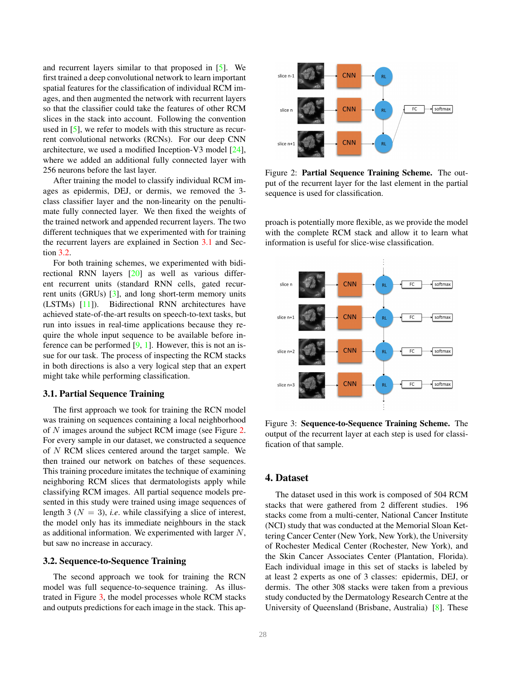<span id="page-3-4"></span>and recurrent layers similar to that proposed in [\[5\]](#page-7-14). We first trained a deep convolutional network to learn important spatial features for the classification of individual RCM images, and then augmented the network with recurrent layers so that the classifier could take the features of other RCM slices in the stack into account. Following the convention used in [\[5\]](#page-7-14), we refer to models with this structure as recurrent convolutional networks (RCNs). For our deep CNN architecture, we used a modified Inception-V3 model [\[24\]](#page-8-1), where we added an additional fully connected layer with 256 neurons before the last layer.

After training the model to classify individual RCM images as epidermis, DEJ, or dermis, we removed the 3 class classifier layer and the non-linearity on the penultimate fully connected layer. We then fixed the weights of the trained network and appended recurrent layers. The two different techniques that we experimented with for training the recurrent layers are explained in Section [3.1](#page-3-0) and Section [3.2.](#page-3-1)

For both training schemes, we experimented with bidirectional RNN layers [\[20\]](#page-7-15) as well as various different recurrent units (standard RNN cells, gated recurrent units (GRUs) [\[3\]](#page-7-16), and long short-term memory units (LSTMs) [\[11\]](#page-7-17)). Bidirectional RNN architectures have achieved state-of-the-art results on speech-to-text tasks, but run into issues in real-time applications because they require the whole input sequence to be available before inference can be performed  $[9, 1]$  $[9, 1]$ . However, this is not an issue for our task. The process of inspecting the RCM stacks in both directions is also a very logical step that an expert might take while performing classification.

#### <span id="page-3-0"></span>3.1. Partial Sequence Training

The first approach we took for training the RCN model was training on sequences containing a local neighborhood of N images around the subject RCM image (see Figure [2.](#page-3-2) For every sample in our dataset, we constructed a sequence of N RCM slices centered around the target sample. We then trained our network on batches of these sequences. This training procedure imitates the technique of examining neighboring RCM slices that dermatologists apply while classifying RCM images. All partial sequence models presented in this study were trained using image sequences of length 3 ( $N = 3$ ), *i.e.* while classifying a slice of interest, the model only has its immediate neighbours in the stack as additional information. We experimented with larger N, but saw no increase in accuracy.

## <span id="page-3-1"></span>3.2. Sequence-to-Sequence Training

The second approach we took for training the RCN model was full sequence-to-sequence training. As illustrated in Figure [3,](#page-3-3) the model processes whole RCM stacks and outputs predictions for each image in the stack. This ap-

<span id="page-3-2"></span>

Figure 2: Partial Sequence Training Scheme. The output of the recurrent layer for the last element in the partial sequence is used for classification.

proach is potentially more flexible, as we provide the model with the complete RCM stack and allow it to learn what information is useful for slice-wise classification.

<span id="page-3-3"></span>

Figure 3: Sequence-to-Sequence Training Scheme. The output of the recurrent layer at each step is used for classification of that sample.

# 4. Dataset

The dataset used in this work is composed of 504 RCM stacks that were gathered from 2 different studies. 196 stacks come from a multi-center, National Cancer Institute (NCI) study that was conducted at the Memorial Sloan Kettering Cancer Center (New York, New York), the University of Rochester Medical Center (Rochester, New York), and the Skin Cancer Associates Center (Plantation, Florida). Each individual image in this set of stacks is labeled by at least 2 experts as one of 3 classes: epidermis, DEJ, or dermis. The other 308 stacks were taken from a previous study conducted by the Dermatology Research Centre at the University of Queensland (Brisbane, Australia) [\[8\]](#page-7-7). These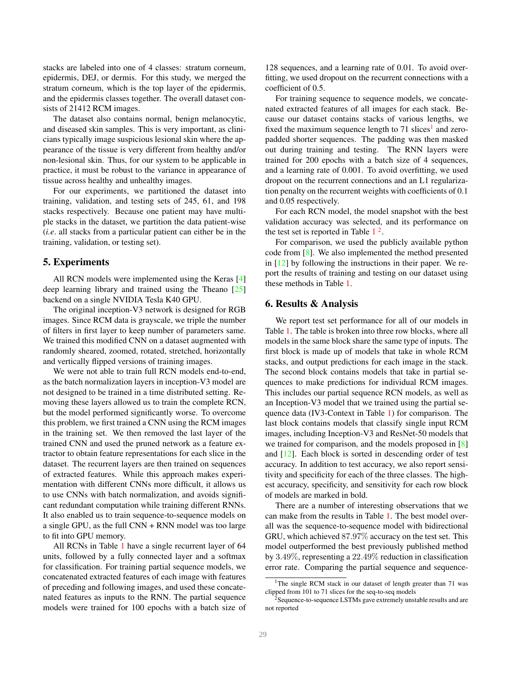<span id="page-4-2"></span>stacks are labeled into one of 4 classes: stratum corneum, epidermis, DEJ, or dermis. For this study, we merged the stratum corneum, which is the top layer of the epidermis, and the epidermis classes together. The overall dataset consists of 21412 RCM images.

The dataset also contains normal, benign melanocytic, and diseased skin samples. This is very important, as clinicians typically image suspicious lesional skin where the appearance of the tissue is very different from healthy and/or non-lesional skin. Thus, for our system to be applicable in practice, it must be robust to the variance in appearance of tissue across healthy and unhealthy images.

For our experiments, we partitioned the dataset into training, validation, and testing sets of 245, 61, and 198 stacks respectively. Because one patient may have multiple stacks in the dataset, we partition the data patient-wise (*i.e*. all stacks from a particular patient can either be in the training, validation, or testing set).

#### 5. Experiments

All RCN models were implemented using the Keras [\[4\]](#page-7-20) deep learning library and trained using the Theano [\[25\]](#page-8-2) backend on a single NVIDIA Tesla K40 GPU.

The original inception-V3 network is designed for RGB images. Since RCM data is grayscale, we triple the number of filters in first layer to keep number of parameters same. We trained this modified CNN on a dataset augmented with randomly sheared, zoomed, rotated, stretched, horizontally and vertically flipped versions of training images.

We were not able to train full RCN models end-to-end, as the batch normalization layers in inception-V3 model are not designed to be trained in a time distributed setting. Removing these layers allowed us to train the complete RCN, but the model performed significantly worse. To overcome this problem, we first trained a CNN using the RCM images in the training set. We then removed the last layer of the trained CNN and used the pruned network as a feature extractor to obtain feature representations for each slice in the dataset. The recurrent layers are then trained on sequences of extracted features. While this approach makes experimentation with different CNNs more difficult, it allows us to use CNNs with batch normalization, and avoids significant redundant computation while training different RNNs. It also enabled us to train sequence-to-sequence models on a single GPU, as the full CNN + RNN model was too large to fit into GPU memory.

All RCNs in Table [1](#page-5-0) have a single recurrent layer of 64 units, followed by a fully connected layer and a softmax for classification. For training partial sequence models, we concatenated extracted features of each image with features of preceding and following images, and used these concatenated features as inputs to the RNN. The partial sequence models were trained for 100 epochs with a batch size of

128 sequences, and a learning rate of 0.01. To avoid overfitting, we used dropout on the recurrent connections with a coefficient of 0.5.

For training sequence to sequence models, we concatenated extracted features of all images for each stack. Because our dataset contains stacks of various lengths, we fixed the maximum sequence length to  $71$  $71$  slices<sup>1</sup> and zeropadded shorter sequences. The padding was then masked out during training and testing. The RNN layers were trained for 200 epochs with a batch size of 4 sequences, and a learning rate of 0.001. To avoid overfitting, we used dropout on the recurrent connections and an L1 regularization penalty on the recurrent weights with coefficients of 0.1 and 0.05 respectively.

For each RCN model, the model snapshot with the best validation accuracy was selected, and its performance on the test set is reported in Table  $1<sup>2</sup>$  $1<sup>2</sup>$  $1<sup>2</sup>$  $1<sup>2</sup>$ .

For comparison, we used the publicly available python code from [\[8\]](#page-7-7). We also implemented the method presented in [\[12\]](#page-7-8) by following the instructions in their paper. We report the results of training and testing on our dataset using these methods in Table [1.](#page-5-0)

## 6. Results & Analysis

We report test set performance for all of our models in Table [1.](#page-5-0) The table is broken into three row blocks, where all models in the same block share the same type of inputs. The first block is made up of models that take in whole RCM stacks, and output predictions for each image in the stack. The second block contains models that take in partial sequences to make predictions for individual RCM images. This includes our partial sequence RCN models, as well as an Inception-V3 model that we trained using the partial sequence data (IV3-Context in Table [1\)](#page-5-0) for comparison. The last block contains models that classify single input RCM images, including Inception-V3 and ResNet-50 models that we trained for comparison, and the models proposed in [\[8\]](#page-7-7) and [\[12\]](#page-7-8). Each block is sorted in descending order of test accuracy. In addition to test accuracy, we also report sensitivity and specificity for each of the three classes. The highest accuracy, specificity, and sensitivity for each row block of models are marked in bold.

There are a number of interesting observations that we can make from the results in Table [1.](#page-5-0) The best model overall was the sequence-to-sequence model with bidirectional GRU, which achieved 87.97% accuracy on the test set. This model outperformed the best previously published method by 3.49%, representing a 22.49% reduction in classification error rate. Comparing the partial sequence and sequence-

<span id="page-4-0"></span><sup>&</sup>lt;sup>1</sup>The single RCM stack in our dataset of length greater than 71 was clipped from 101 to 71 slices for the seq-to-seq models

<span id="page-4-1"></span><sup>&</sup>lt;sup>2</sup>Sequence-to-sequence LSTMs gave extremely unstable results and are not reported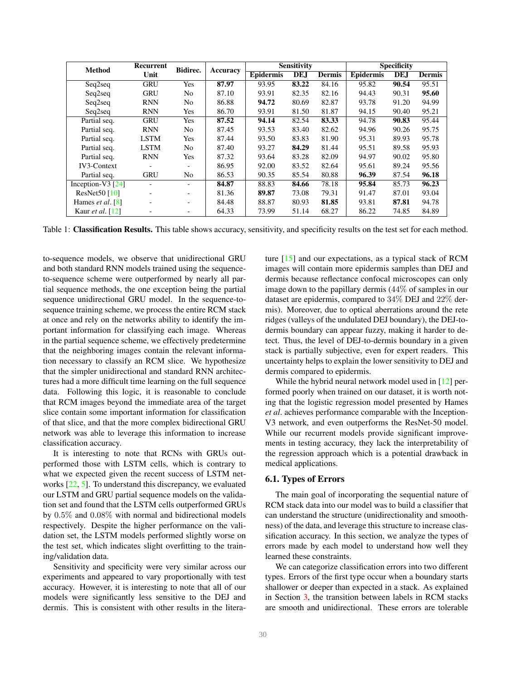<span id="page-5-1"></span><span id="page-5-0"></span>

| <b>Method</b>             | Recurrent<br>Unit | Bidirec.       | Accuracy | <b>Sensitivity</b> |       |               | <b>Specificity</b> |       |               |
|---------------------------|-------------------|----------------|----------|--------------------|-------|---------------|--------------------|-------|---------------|
|                           |                   |                |          | <b>Epidermis</b>   | DE.J  | <b>Dermis</b> | <b>Epidermis</b>   | DE.J  | <b>Dermis</b> |
| Seq2seq                   | <b>GRU</b>        | Yes            | 87.97    | 93.95              | 83.22 | 84.16         | 95.82              | 90.54 | 95.51         |
| Seq2seq                   | <b>GRU</b>        | N <sub>0</sub> | 87.10    | 93.91              | 82.35 | 82.16         | 94.43              | 90.31 | 95.60         |
| Seq2seq                   | <b>RNN</b>        | N <sub>0</sub> | 86.88    | 94.72              | 80.69 | 82.87         | 93.78              | 91.20 | 94.99         |
| Seq2seq                   | <b>RNN</b>        | Yes            | 86.70    | 93.91              | 81.50 | 81.87         | 94.15              | 90.40 | 95.21         |
| Partial seq.              | <b>GRU</b>        | Yes            | 87.52    | 94.14              | 82.54 | 83.33         | 94.78              | 90.83 | 95.44         |
| Partial seq.              | <b>RNN</b>        | N <sub>0</sub> | 87.45    | 93.53              | 83.40 | 82.62         | 94.96              | 90.26 | 95.75         |
| Partial seq.              | <b>LSTM</b>       | Yes            | 87.44    | 93.50              | 83.83 | 81.90         | 95.31              | 89.93 | 95.78         |
| Partial seq.              | <b>LSTM</b>       | N <sub>o</sub> | 87.40    | 93.27              | 84.29 | 81.44         | 95.51              | 89.58 | 95.93         |
| Partial seq.              | <b>RNN</b>        | <b>Yes</b>     | 87.32    | 93.64              | 83.28 | 82.09         | 94.97              | 90.02 | 95.80         |
| <b>IV3-Context</b>        |                   | -              | 86.95    | 92.00              | 83.52 | 82.64         | 95.61              | 89.24 | 95.56         |
| Partial seq.              | <b>GRU</b>        | N <sub>0</sub> | 86.53    | 90.35              | 85.54 | 80.88         | 96.39              | 87.54 | 96.18         |
| Inception-V3 $[24]$       |                   |                | 84.87    | 88.83              | 84.66 | 78.18         | 95.84              | 85.73 | 96.23         |
| ResNet50 [10]             |                   |                | 81.36    | 89.87              | 73.08 | 79.31         | 91.47              | 87.01 | 93.04         |
| Hames <i>et al.</i> $[8]$ |                   |                | 84.48    | 88.87              | 80.93 | 81.85         | 93.81              | 87.81 | 94.78         |
| Kaur <i>et al.</i> [12]   |                   | -              | 64.33    | 73.99              | 51.14 | 68.27         | 86.22              | 74.85 | 84.89         |

Table 1: Classification Results. This table shows accuracy, sensitivity, and specificity results on the test set for each method.

to-sequence models, we observe that unidirectional GRU and both standard RNN models trained using the sequenceto-sequence scheme were outperformed by nearly all partial sequence methods, the one exception being the partial sequence unidirectional GRU model. In the sequence-tosequence training scheme, we process the entire RCM stack at once and rely on the networks ability to identify the important information for classifying each image. Whereas in the partial sequence scheme, we effectively predetermine that the neighboring images contain the relevant information necessary to classify an RCM slice. We hypothesize that the simpler unidirectional and standard RNN architectures had a more difficult time learning on the full sequence data. Following this logic, it is reasonable to conclude that RCM images beyond the immediate area of the target slice contain some important information for classification of that slice, and that the more complex bidirectional GRU network was able to leverage this information to increase classification accuracy.

It is interesting to note that RCNs with GRUs outperformed those with LSTM cells, which is contrary to what we expected given the recent success of LSTM networks [\[22,](#page-7-21) [5\]](#page-7-14). To understand this discrepancy, we evaluated our LSTM and GRU partial sequence models on the validation set and found that the LSTM cells outperformed GRUs by 0.5% and 0.08% with normal and bidirectional models respectively. Despite the higher performance on the validation set, the LSTM models performed slightly worse on the test set, which indicates slight overfitting to the training/validation data.

Sensitivity and specificity were very similar across our experiments and appeared to vary proportionally with test accuracy. However, it is interesting to note that all of our models were significantly less sensitive to the DEJ and dermis. This is consistent with other results in the literature [\[15\]](#page-7-4) and our expectations, as a typical stack of RCM images will contain more epidermis samples than DEJ and dermis because reflectance confocal microscopes can only image down to the papillary dermis (44% of samples in our dataset are epidermis, compared to 34% DEJ and 22% dermis). Moreover, due to optical aberrations around the rete ridges (valleys of the undulated DEJ boundary), the DEJ-todermis boundary can appear fuzzy, making it harder to detect. Thus, the level of DEJ-to-dermis boundary in a given stack is partially subjective, even for expert readers. This uncertainty helps to explain the lower sensitivity to DEJ and dermis compared to epidermis.

While the hybrid neural network model used in [\[12\]](#page-7-8) performed poorly when trained on our dataset, it is worth noting that the logistic regression model presented by Hames *et al*. achieves performance comparable with the Inception-V3 network, and even outperforms the ResNet-50 model. While our recurrent models provide significant improvements in testing accuracy, they lack the interpretability of the regression approach which is a potential drawback in medical applications.

## 6.1. Types of Errors

The main goal of incorporating the sequential nature of RCM stack data into our model was to build a classifier that can understand the structure (unidirectionality and smoothness) of the data, and leverage this structure to increase classification accuracy. In this section, we analyze the types of errors made by each model to understand how well they learned these constraints.

We can categorize classification errors into two different types. Errors of the first type occur when a boundary starts shallower or deeper than expected in a stack. As explained in Section [3,](#page-2-0) the transition between labels in RCM stacks are smooth and unidirectional. These errors are tolerable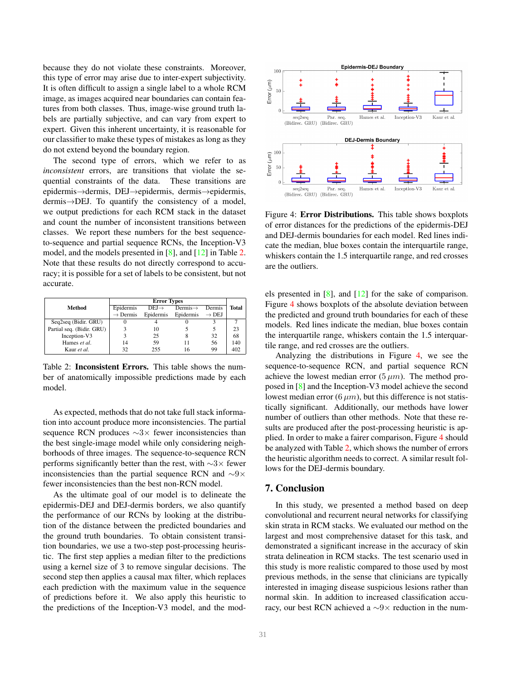<span id="page-6-2"></span>because they do not violate these constraints. Moreover, this type of error may arise due to inter-expert subjectivity. It is often difficult to assign a single label to a whole RCM image, as images acquired near boundaries can contain features from both classes. Thus, image-wise ground truth labels are partially subjective, and can vary from expert to expert. Given this inherent uncertainty, it is reasonable for our classifier to make these types of mistakes as long as they do not extend beyond the boundary region.

The second type of errors, which we refer to as *inconsistent* errors, are transitions that violate the sequential constraints of the data. These transitions are epidermis→dermis, DEJ→epidermis, dermis→epidermis, dermis→DEJ. To quantify the consistency of a model, we output predictions for each RCM stack in the dataset and count the number of inconsistent transitions between classes. We report these numbers for the best sequenceto-sequence and partial sequence RCNs, the Inception-V3 model, and the models presented in [\[8\]](#page-7-7), and [\[12\]](#page-7-8) in Table [2.](#page-6-0) Note that these results do not directly correspond to accuracy; it is possible for a set of labels to be consistent, but not accurate.

<span id="page-6-0"></span>

|                           | <b>Error Types</b>   |                   |                      |                   |       |  |  |
|---------------------------|----------------------|-------------------|----------------------|-------------------|-------|--|--|
| Method                    | Epidermis            | $DEJ \rightarrow$ | $Dermis \rightarrow$ | Dermis            | Total |  |  |
|                           | $\rightarrow$ Dermis | Epidermis         | Epidermis            | $\rightarrow$ DEJ |       |  |  |
| Seq2seq (Bidir. GRU)      |                      |                   |                      |                   |       |  |  |
| Partial seq. (Bidir. GRU) |                      | 10                |                      |                   | 23    |  |  |
| Inception-V3              |                      | 25                |                      | 32                | 68    |  |  |
| Hames et al.              | 14                   | 59                |                      | 56                | 140   |  |  |
| Kaur et al.               | 32                   | 255               |                      | 99                | 402   |  |  |

Table 2: Inconsistent Errors. This table shows the number of anatomically impossible predictions made by each model.

As expected, methods that do not take full stack information into account produce more inconsistencies. The partial sequence RCN produces ∼3× fewer inconsistencies than the best single-image model while only considering neighborhoods of three images. The sequence-to-sequence RCN performs significantly better than the rest, with ∼3× fewer inconsistencies than the partial sequence RCN and  $\sim$ 9× fewer inconsistencies than the best non-RCN model.

As the ultimate goal of our model is to delineate the epidermis-DEJ and DEJ-dermis borders, we also quantify the performance of our RCNs by looking at the distribution of the distance between the predicted boundaries and the ground truth boundaries. To obtain consistent transition boundaries, we use a two-step post-processing heuristic. The first step applies a median filter to the predictions using a kernel size of 3 to remove singular decisions. The second step then applies a causal max filter, which replaces each prediction with the maximum value in the sequence of predictions before it. We also apply this heuristic to the predictions of the Inception-V3 model, and the mod-

<span id="page-6-1"></span>

Figure 4: Error Distributions. This table shows boxplots of error distances for the predictions of the epidermis-DEJ and DEJ-dermis boundaries for each model. Red lines indicate the median, blue boxes contain the interquartile range, whiskers contain the 1.5 interquartile range, and red crosses are the outliers.

els presented in [\[8\]](#page-7-7), and [\[12\]](#page-7-8) for the sake of comparison. Figure [4](#page-6-1) shows boxplots of the absolute deviation between the predicted and ground truth boundaries for each of these models. Red lines indicate the median, blue boxes contain the interquartile range, whiskers contain the 1.5 interquartile range, and red crosses are the outliers.

Analyzing the distributions in Figure [4,](#page-6-1) we see the sequence-to-sequence RCN, and partial sequence RCN achieve the lowest median error  $(5 \mu m)$ . The method proposed in [\[8\]](#page-7-7) and the Inception-V3 model achieve the second lowest median error  $(6 \mu m)$ , but this difference is not statistically significant. Additionally, our methods have lower number of outliers than other methods. Note that these results are produced after the post-processing heuristic is applied. In order to make a fairer comparison, Figure [4](#page-6-1) should be analyzed with Table [2,](#page-6-0) which shows the number of errors the heuristic algorithm needs to correct. A similar result follows for the DEJ-dermis boundary.

## 7. Conclusion

In this study, we presented a method based on deep convolutional and recurrent neural networks for classifying skin strata in RCM stacks. We evaluated our method on the largest and most comprehensive dataset for this task, and demonstrated a significant increase in the accuracy of skin strata delineation in RCM stacks. The test scenario used in this study is more realistic compared to those used by most previous methods, in the sense that clinicians are typically interested in imaging disease suspicious lesions rather than normal skin. In addition to increased classification accuracy, our best RCN achieved a ∼9× reduction in the num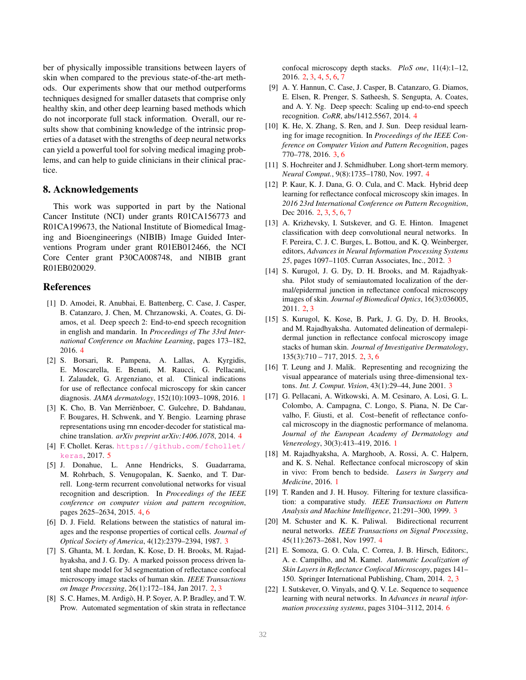ber of physically impossible transitions between layers of skin when compared to the previous state-of-the-art methods. Our experiments show that our method outperforms techniques designed for smaller datasets that comprise only healthy skin, and other deep learning based methods which do not incorporate full stack information. Overall, our results show that combining knowledge of the intrinsic properties of a dataset with the strengths of deep neural networks can yield a powerful tool for solving medical imaging problems, and can help to guide clinicians in their clinical practice.

#### 8. Acknowledgements

This work was supported in part by the National Cancer Institute (NCI) under grants R01CA156773 and R01CA199673, the National Institute of Biomedical Imaging and Bioengineerings (NIBIB) Image Guided Interventions Program under grant R01EB012466, the NCI Core Center grant P30CA008748, and NIBIB grant R01EB020029.

## References

- <span id="page-7-19"></span>[1] D. Amodei, R. Anubhai, E. Battenberg, C. Case, J. Casper, B. Catanzaro, J. Chen, M. Chrzanowski, A. Coates, G. Diamos, et al. Deep speech 2: End-to-end speech recognition in english and mandarin. In *Proceedings of The 33rd International Conference on Machine Learning*, pages 173–182, 2016. [4](#page-3-4)
- <span id="page-7-1"></span>[2] S. Borsari, R. Pampena, A. Lallas, A. Kyrgidis, E. Moscarella, E. Benati, M. Raucci, G. Pellacani, I. Zalaudek, G. Argenziano, et al. Clinical indications for use of reflectance confocal microscopy for skin cancer diagnosis. *JAMA dermatology*, 152(10):1093–1098, 2016. [1](#page-0-0)
- <span id="page-7-16"></span>[3] K. Cho, B. Van Merriënboer, C. Gulcehre, D. Bahdanau, F. Bougares, H. Schwenk, and Y. Bengio. Learning phrase representations using rnn encoder-decoder for statistical machine translation. *arXiv preprint arXiv:1406.1078*, 2014. [4](#page-3-4)
- <span id="page-7-20"></span>[4] F. Chollet. Keras. [https://github.com/fchollet/](https://github.com/fchollet/keras) [keras](https://github.com/fchollet/keras), 2017. [5](#page-4-2)
- <span id="page-7-14"></span>[5] J. Donahue, L. Anne Hendricks, S. Guadarrama, M. Rohrbach, S. Venugopalan, K. Saenko, and T. Darrell. Long-term recurrent convolutional networks for visual recognition and description. In *Proceedings of the IEEE conference on computer vision and pattern recognition*, pages 2625–2634, 2015. [4,](#page-3-4) [6](#page-5-1)
- <span id="page-7-9"></span>[6] D. J. Field. Relations between the statistics of natural images and the response properties of cortical cells. *Journal of Optical Society of America*, 4(12):2379–2394, 1987. [3](#page-2-1)
- <span id="page-7-5"></span>[7] S. Ghanta, M. I. Jordan, K. Kose, D. H. Brooks, M. Rajadhyaksha, and J. G. Dy. A marked poisson process driven latent shape model for 3d segmentation of reflectance confocal microscopy image stacks of human skin. *IEEE Transactions on Image Processing*, 26(1):172–184, Jan 2017. [2,](#page-1-0) [3](#page-2-1)
- <span id="page-7-7"></span>[8] S. C. Hames, M. Ardigò, H. P. Soyer, A. P. Bradley, and T. W. Prow. Automated segmentation of skin strata in reflectance

confocal microscopy depth stacks. *PloS one*, 11(4):1–12, 2016. [2,](#page-1-0) [3,](#page-2-1) [4,](#page-3-4) [5,](#page-4-2) [6,](#page-5-1) [7](#page-6-2)

- <span id="page-7-18"></span>[9] A. Y. Hannun, C. Case, J. Casper, B. Catanzaro, G. Diamos, E. Elsen, R. Prenger, S. Satheesh, S. Sengupta, A. Coates, and A. Y. Ng. Deep speech: Scaling up end-to-end speech recognition. *CoRR*, abs/1412.5567, 2014. [4](#page-3-4)
- <span id="page-7-13"></span>[10] K. He, X. Zhang, S. Ren, and J. Sun. Deep residual learning for image recognition. In *Proceedings of the IEEE Conference on Computer Vision and Pattern Recognition*, pages 770–778, 2016. [3,](#page-2-1) [6](#page-5-1)
- <span id="page-7-17"></span>[11] S. Hochreiter and J. Schmidhuber. Long short-term memory. *Neural Comput.*, 9(8):1735–1780, Nov. 1997. [4](#page-3-4)
- <span id="page-7-8"></span>[12] P. Kaur, K. J. Dana, G. O. Cula, and C. Mack. Hybrid deep learning for reflectance confocal microscopy skin images. In *2016 23rd International Conference on Pattern Recognition*, Dec 2016. [2,](#page-1-0) [3,](#page-2-1) [5,](#page-4-2) [6,](#page-5-1) [7](#page-6-2)
- <span id="page-7-12"></span>[13] A. Krizhevsky, I. Sutskever, and G. E. Hinton. Imagenet classification with deep convolutional neural networks. In F. Pereira, C. J. C. Burges, L. Bottou, and K. Q. Weinberger, editors, *Advances in Neural Information Processing Systems 25*, pages 1097–1105. Curran Associates, Inc., 2012. [3](#page-2-1)
- <span id="page-7-3"></span>[14] S. Kurugol, J. G. Dy, D. H. Brooks, and M. Rajadhyaksha. Pilot study of semiautomated localization of the dermal/epidermal junction in reflectance confocal microscopy images of skin. *Journal of Biomedical Optics*, 16(3):036005, 2011. [2,](#page-1-0) [3](#page-2-1)
- <span id="page-7-4"></span>[15] S. Kurugol, K. Kose, B. Park, J. G. Dy, D. H. Brooks, and M. Rajadhyaksha. Automated delineation of dermalepidermal junction in reflectance confocal microscopy image stacks of human skin. *Journal of Investigative Dermatology*, 135(3):710 – 717, 2015. [2,](#page-1-0) [3,](#page-2-1) [6](#page-5-1)
- <span id="page-7-11"></span>[16] T. Leung and J. Malik. Representing and recognizing the visual appearance of materials using three-dimensional textons. *Int. J. Comput. Vision*, 43(1):29–44, June 2001. [3](#page-2-1)
- <span id="page-7-2"></span>[17] G. Pellacani, A. Witkowski, A. M. Cesinaro, A. Losi, G. L. Colombo, A. Campagna, C. Longo, S. Piana, N. De Carvalho, F. Giusti, et al. Cost–benefit of reflectance confocal microscopy in the diagnostic performance of melanoma. *Journal of the European Academy of Dermatology and Venereology*, 30(3):413–419, 2016. [1](#page-0-0)
- <span id="page-7-0"></span>[18] M. Rajadhyaksha, A. Marghoob, A. Rossi, A. C. Halpern, and K. S. Nehal. Reflectance confocal microscopy of skin in vivo: From bench to bedside. *Lasers in Surgery and Medicine*, 2016. [1](#page-0-0)
- <span id="page-7-10"></span>[19] T. Randen and J. H. Husoy. Filtering for texture classification: a comparative study. *IEEE Transactions on Pattern Analysis and Machine Intelligence*, 21:291–300, 1999. [3](#page-2-1)
- <span id="page-7-15"></span>[20] M. Schuster and K. K. Paliwal. Bidirectional recurrent neural networks. *IEEE Transactions on Signal Processing*, 45(11):2673–2681, Nov 1997. [4](#page-3-4)
- <span id="page-7-6"></span>[21] E. Somoza, G. O. Cula, C. Correa, J. B. Hirsch, Editors:, A. e. Campilho, and M. Kamel. *Automatic Localization of Skin Layers in Reflectance Confocal Microscopy*, pages 141– 150. Springer International Publishing, Cham, 2014. [2,](#page-1-0) [3](#page-2-1)
- <span id="page-7-21"></span>[22] I. Sutskever, O. Vinyals, and Q. V. Le. Sequence to sequence learning with neural networks. In *Advances in neural information processing systems*, pages 3104–3112, 2014. [6](#page-5-1)